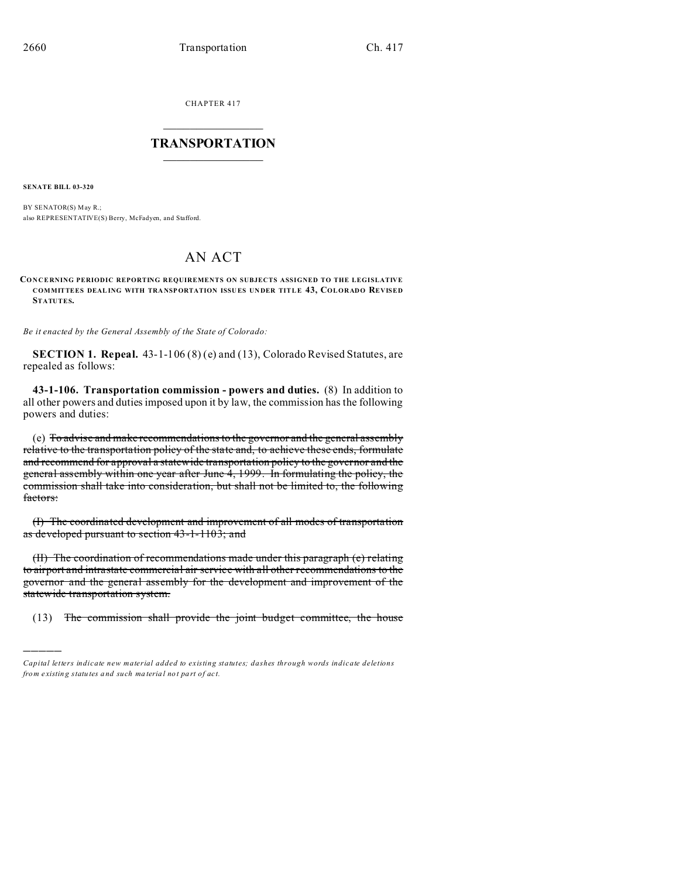CHAPTER 417  $\overline{\phantom{a}}$  , where  $\overline{\phantom{a}}$ 

## **TRANSPORTATION**  $\_$   $\_$   $\_$   $\_$   $\_$   $\_$   $\_$   $\_$   $\_$

**SENATE BILL 03-320**

)))))

BY SENATOR(S) May R.; also REPRESENTATIVE(S) Berry, McFadyen, and Stafford.

## AN ACT

**CONCERNING PERIODIC REPORTING REQUIREMENTS ON SUBJECTS ASSIGNED TO THE LEGISLATIVE COMMITTEES DEALING WITH TRA NSPORTATION ISSU ES UN DER TITLE 43, COLORADO REVISED STATUTES.**

*Be it enacted by the General Assembly of the State of Colorado:*

**SECTION 1. Repeal.** 43-1-106 (8) (e) and (13), Colorado Revised Statutes, are repealed as follows:

**43-1-106. Transportation commission - powers and duties.** (8) In addition to all other powers and duties imposed upon it by law, the commission has the following powers and duties:

(e) To advise and make recommendations to the governor and the general assembly relative to the transportation policy of the state and, to achieve these ends, formulate and recommend for approval a statewide transportation policy to the governor and the general assembly within one year after June 4, 1999. In formulating the policy, the commission shall take into consideration, but shall not be limited to, the following factors:

(I) The coordinated development and improvement of all modes of transportation as developed pursuant to section 43-1-1103; and

(II) The coordination of recommendations made under this paragraph (e) relating to airport and intrastate commercial air service with all other recommendations to the governor and the general assembly for the development and improvement of the statewide transportation system.

(13) The commission shall provide the joint budget committee, the house

*Capital letters indicate new material added to existing statutes; dashes through words indicate deletions from e xistin g statu tes a nd such ma teria l no t pa rt of ac t.*